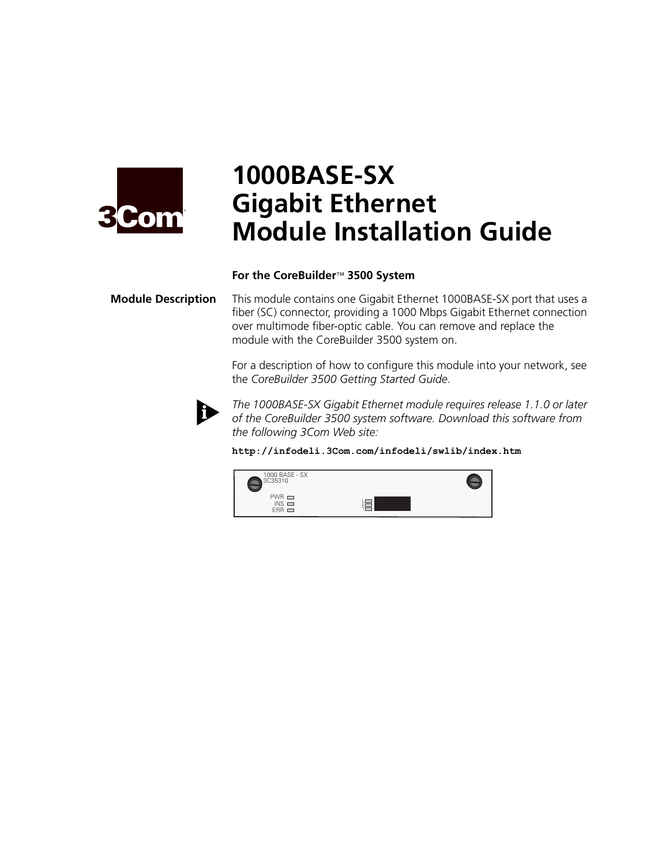

# **1000BASE-SX Gigabit Ethernet Module Installation Guide**

### **For the CoreBuilder**™ **3500 System**

**Module Description** This module contains one Gigabit Ethernet 1000BASE-SX port that uses a fiber (SC) connector, providing a 1000 Mbps Gigabit Ethernet connection over multimode fiber-optic cable. You can remove and replace the module with the CoreBuilder 3500 system on.

> For a description of how to configure this module into your network, see the *CoreBuilder 3500 Getting Started Guide*.



*The 1000BASE-SX Gigabit Ethernet module requires release 1.1.0 or later of the CoreBuilder 3500 system software. Download this software from the following 3Com Web site:*

**http://infodeli.3Com.com/infodeli/swlib/index.htm**

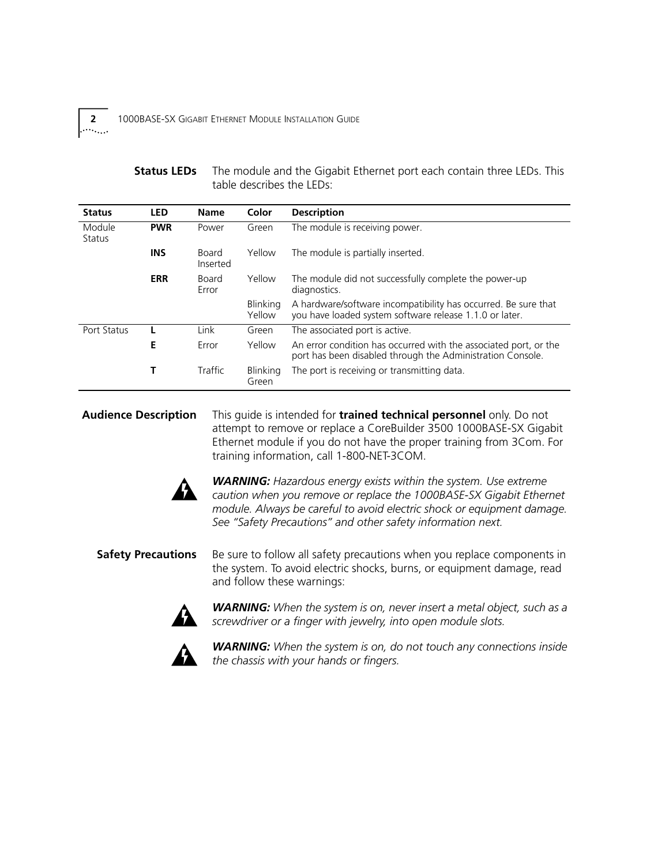## **Status LEDs** The module and the Gigabit Ethernet port each contain three LEDs. This table describes the LEDs:

| <b>Status</b>           | <b>LED</b> | <b>Name</b>       | Color              | <b>Description</b>                                                                                                             |
|-------------------------|------------|-------------------|--------------------|--------------------------------------------------------------------------------------------------------------------------------|
| Module<br><b>Status</b> | <b>PWR</b> | Power             | Green              | The module is receiving power.                                                                                                 |
|                         | <b>INS</b> | Board<br>Inserted | Yellow             | The module is partially inserted.                                                                                              |
|                         | <b>ERR</b> | Board<br>Error    | Yellow             | The module did not successfully complete the power-up<br>diagnostics.                                                          |
|                         |            |                   | Blinking<br>Yellow | A hardware/software incompatibility has occurred. Be sure that<br>you have loaded system software release 1.1.0 or later.      |
| Port Status             |            | Link              | Green              | The associated port is active.                                                                                                 |
|                         | E          | Error             | Yellow             | An error condition has occurred with the associated port, or the<br>port has been disabled through the Administration Console. |
|                         | Т          | Traffic           | Blinking<br>Green  | The port is receiving or transmitting data.                                                                                    |

**Audience Description** This guide is intended for **trained technical personnel** only. Do not attempt to remove or replace a CoreBuilder 3500 1000BASE-SX Gigabit Ethernet module if you do not have the proper training from 3Com. For training information, call 1-800-NET-3COM.



*WARNING: Hazardous energy exists within the system. Use extreme caution when you remove or replace the 1000BASE-SX Gigabit Ethernet module. Always be careful to avoid electric shock or equipment damage. See "Safety Precautions" and other safety information next.*

**Safety Precautions** Be sure to follow all safety precautions when you replace components in the system. To avoid electric shocks, burns, or equipment damage, read and follow these warnings:



*WARNING: When the system is on, never insert a metal object, such as a screwdriver or a finger with jewelry, into open module slots.* 



*WARNING: When the system is on, do not touch any connections inside the chassis with your hands or fingers.* 

<span id="page-1-0"></span> $\cdots$  . . . .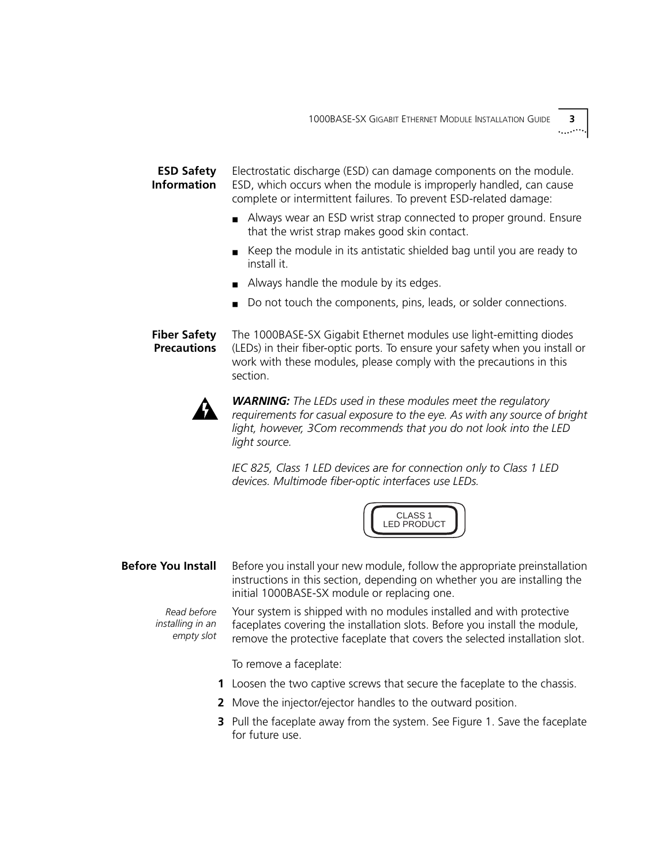**ESD Safety Information** Electrostatic discharge (ESD) can damage components on the module. ESD, which occurs when the module is improperly handled, can cause complete or intermittent failures. To prevent ESD-related damage:

- Always wear an ESD wrist strap connected to proper ground. Ensure that the wrist strap makes good skin contact.
- Keep the module in its antistatic shielded bag until you are ready to install it.
- Always handle the module by its edges.
- Do not touch the components, pins, leads, or solder connections.

**Fiber Safety Precautions** The 1000BASE-SX Gigabit Ethernet modules use light-emitting diodes (LEDs) in their fiber-optic ports. To ensure your safety when you install or work with these modules, please comply with the precautions in this section.



*WARNING: The LEDs used in these modules meet the regulatory requirements for casual exposure to the eye. As with any source of bright light, however, 3Com recommends that you do not look into the LED light source.*

*IEC 825, Class 1 LED devices are for connection only to Class 1 LED devices. Multimode fiber-optic interfaces use LEDs.*



**Before You Install** Before you install your new module, follow the appropriate preinstallation instructions in this section, depending on whether you are installing the initial 1000BASE-SX module or replacing one.

*Read before installing in an empty slot* Your system is shipped with no modules installed and with protective faceplates covering the installation slots. Before you install the module, remove the protective faceplate that covers the selected installation slot.

To remove a faceplate:

- **1** Loosen the two captive screws that secure the faceplate to the chassis.
- **2** Move the injector/ejector handles to the outward position.
- **3** Pull the faceplate away from the system. See [Figure 1](#page-3-0). Save the faceplate for future use.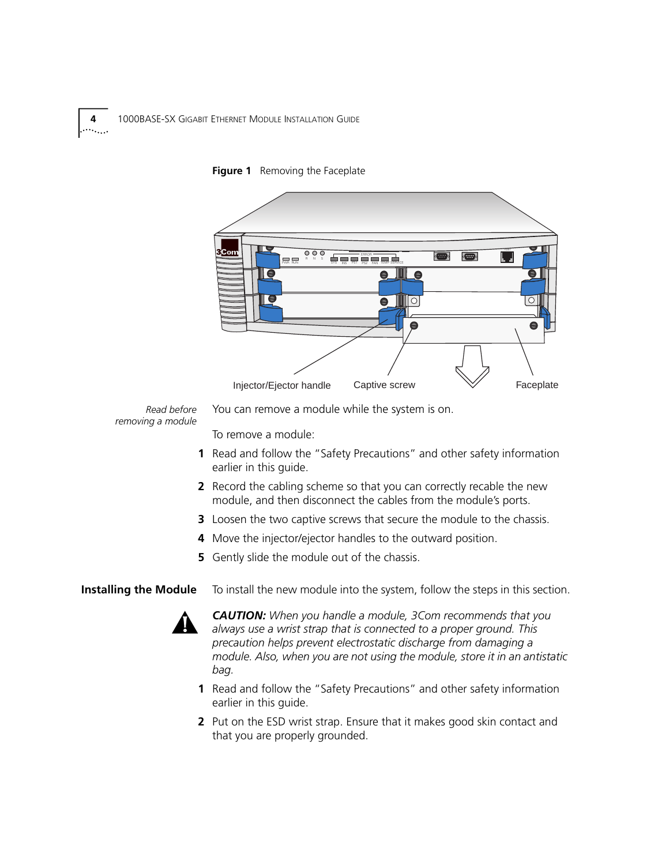



*Read before removing a module*

You can remove a module while the system is on.

To remove a module:

- **1** Read and follow the ["Safety Precautions"](#page-1-0) and other safety information earlier in this guide.
- **2** Record the cabling scheme so that you can correctly recable the new module, and then disconnect the cables from the module's ports.
- **3** Loosen the two captive screws that secure the module to the chassis.
- **4** Move the injector/ejector handles to the outward position.
- **5** Gently slide the module out of the chassis.
- **Installing the Module** To install the new module into the system, follow the steps in this section.



*CAUTION: When you handle a module, 3Com recommends that you always use a wrist strap that is connected to a proper ground. This precaution helps prevent electrostatic discharge from damaging a module. Also, when you are not using the module, store it in an antistatic bag.*

- **1** Read and follow the ["Safety Precautions"](#page-1-0) and other safety information earlier in this guide.
- **2** Put on the ESD wrist strap. Ensure that it makes good skin contact and that you are properly grounded.

<span id="page-3-0"></span>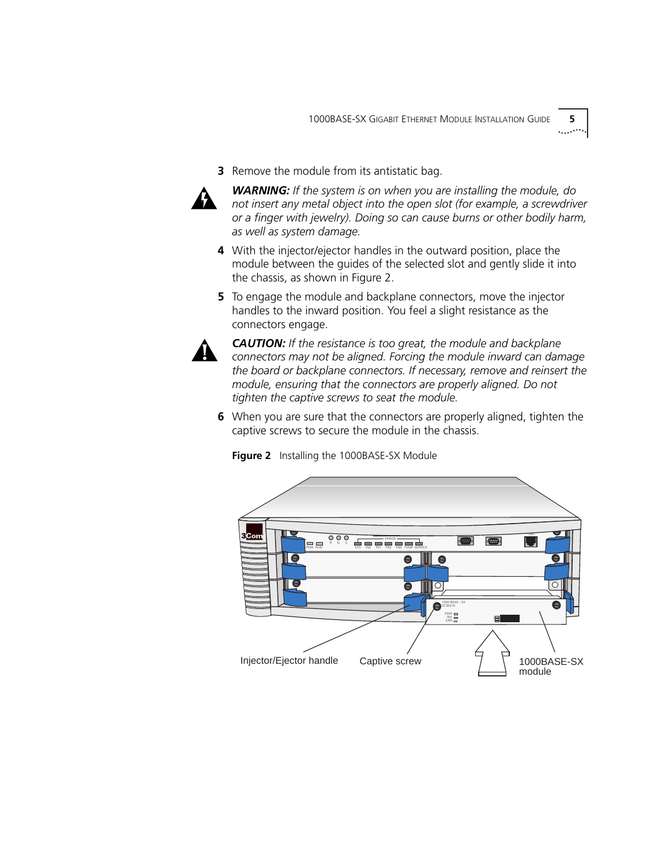**3** Remove the module from its antistatic bag.



*WARNING: If the system is on when you are installing the module, do not insert any metal object into the open slot (for example, a screwdriver or a finger with jewelry). Doing so can cause burns or other bodily harm, as well as system damage.*

- **4** With the injector/ejector handles in the outward position, place the module between the guides of the selected slot and gently slide it into the chassis, as shown in Figure 2.
- **5** To engage the module and backplane connectors, move the injector handles to the inward position. You feel a slight resistance as the connectors engage.



*CAUTION: If the resistance is too great, the module and backplane connectors may not be aligned. Forcing the module inward can damage the board or backplane connectors. If necessary, remove and reinsert the module, ensuring that the connectors are properly aligned. Do not tighten the captive screws to seat the module.*

**6** When you are sure that the connectors are properly aligned, tighten the captive screws to secure the module in the chassis.



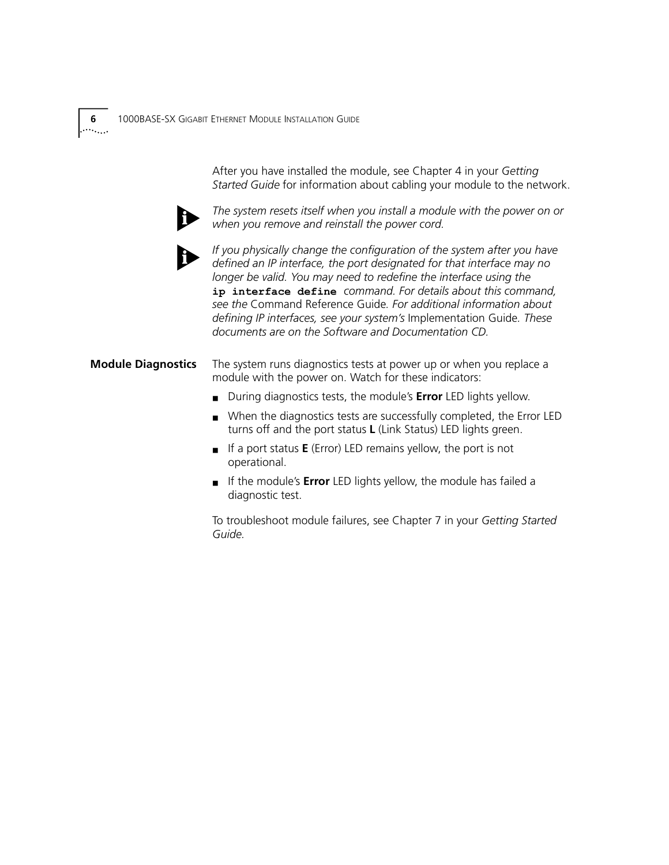After you have installed the module, see Chapter 4 in your *Getting Started Guide* for information about cabling your module to the network.



*The system resets itself when you install a module with the power on or when you remove and reinstall the power cord.* 



*If you physically change the configuration of the system after you have defined an IP interface, the port designated for that interface may no longer be valid. You may need to redefine the interface using the* **ip interface define** *command. For details about this command, see the* Command Reference Guide*. For additional information about defining IP interfaces, see your system's* Implementation Guide*. These documents are on the Software and Documentation CD.* 

## **Module Diagnostics** The system runs diagnostics tests at power up or when you replace a module with the power on. Watch for these indicators:

- During diagnostics tests, the module's **Error** LED lights yellow.
- When the diagnostics tests are successfully completed, the Error LED turns off and the port status **L** (Link Status) LED lights green.
- If a port status **E** (Error) LED remains yellow, the port is not operational.
- If the module's **Error** LED lights yellow, the module has failed a diagnostic test.

To troubleshoot module failures, see Chapter 7 in your *Getting Started Guide.*

 $\cdots$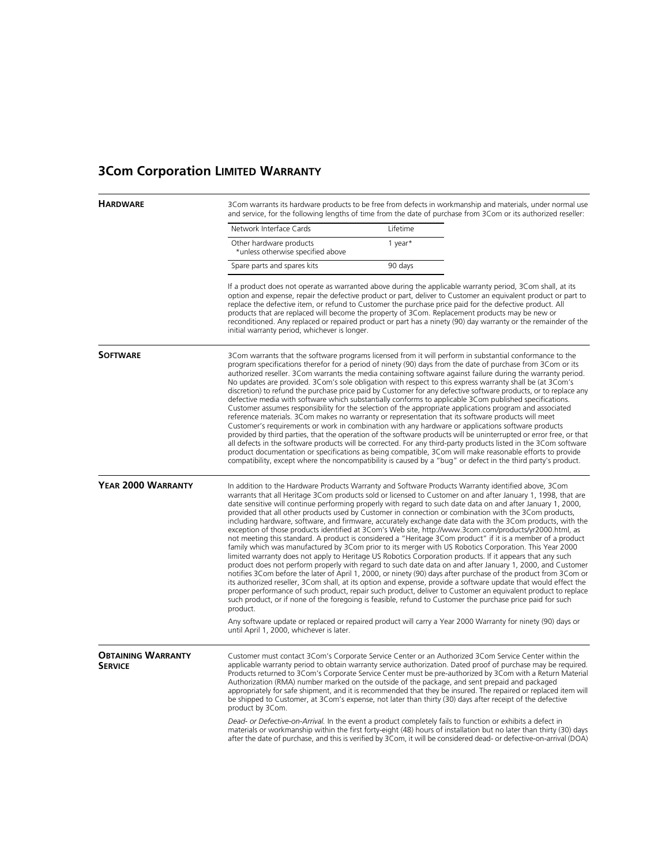## **3Com Corporation LIMITED WARRANTY**

**HARDWARE** 3Com warrants its hardware products to be free from defects in workmanship and materials, under normal use and service, for the following lengths of time from the date of purchase from 3Com or its authorized reseller:

| Network Interface Cards                                      | Lifetime |
|--------------------------------------------------------------|----------|
| Other hardware products<br>*unless otherwise specified above | 1 year*  |
| Spare parts and spares kits                                  | 90 days  |

If a product does not operate as warranted above during the applicable warranty period, 3Com shall, at its option and expense, repair the defective product or part, deliver to Customer an equivalent product or part to replace the defective item, or refund to Customer the purchase price paid for the defective product. All products that are replaced will become the property of 3Com. Replacement products may be new or reconditioned. Any replaced or repaired product or part has a ninety (90) day warranty or the remainder of the initial warranty period, whichever is longer.

**SOFTWARE** 3Com warrants that the software programs licensed from it will perform in substantial conformance to the program specifications therefor for a period of ninety (90) days from the date of purchase from 3Com or its authorized reseller. 3Com warrants the media containing software against failure during the warranty period. No updates are provided. 3Com's sole obligation with respect to this express warranty shall be (at 3Com's discretion) to refund the purchase price paid by Customer for any defective software products, or to replace any defective media with software which substantially conforms to applicable 3Com published specifications. Customer assumes responsibility for the selection of the appropriate applications program and associated reference materials. 3Com makes no warranty or representation that its software products will meet Customer's requirements or work in combination with any hardware or applications software products provided by third parties, that the operation of the software products will be uninterrupted or error free, or that all defects in the software products will be corrected. For any third-party products listed in the 3Com software product documentation or specifications as being compatible, 3Com will make reasonable efforts to provide compatibility, except where the noncompatibility is caused by a "bug" or defect in the third party's product.

**YEAR 2000 WARRANTY** In addition to the Hardware Products Warranty and Software Products Warranty identified above, 3Com warrants that all Heritage 3Com products sold or licensed to Customer on and after January 1, 1998, that are date sensitive will continue performing properly with regard to such date data on and after January 1, 2000, provided that all other products used by Customer in connection or combination with the 3Com products, including hardware, software, and firmware, accurately exchange date data with the 3Com products, with the exception of those products identified at 3Com's Web site, http://www.3com.com/products/yr2000.html, as not meeting this standard. A product is considered a "Heritage 3Com product" if it is a member of a product family which was manufactured by 3Com prior to its merger with US Robotics Corporation. This Year 2000 limited warranty does not apply to Heritage US Robotics Corporation products. If it appears that any such product does not perform properly with regard to such date data on and after January 1, 2000, and Customer notifies 3Com before the later of April 1, 2000, or ninety (90) days after purchase of the product from 3Com or its authorized reseller, 3Com shall, at its option and expense, provide a software update that would effect the proper performance of such product, repair such product, deliver to Customer an equivalent product to replace such product, or if none of the foregoing is feasible, refund to Customer the purchase price paid for such product.

> Any software update or replaced or repaired product will carry a Year 2000 Warranty for ninety (90) days or until April 1, 2000, whichever is later.

**OBTAINING WARRANTY SERVICE** Customer must contact 3Com's Corporate Service Center or an Authorized 3Com Service Center within the applicable warranty period to obtain warranty service authorization. Dated proof of purchase may be required. Products returned to 3Com's Corporate Service Center must be pre-authorized by 3Com with a Return Material Authorization (RMA) number marked on the outside of the package, and sent prepaid and packaged appropriately for safe shipment, and it is recommended that they be insured. The repaired or replaced item will be shipped to Customer, at 3Com's expense, not later than thirty (30) days after receipt of the defective product by 3Com.

*Dead- or Defective-on-Arrival.* In the event a product completely fails to function or exhibits a defect in materials or workmanship within the first forty-eight (48) hours of installation but no later than thirty (30) days after the date of purchase, and this is verified by 3Com, it will be considered dead- or defective-on-arrival (DOA)